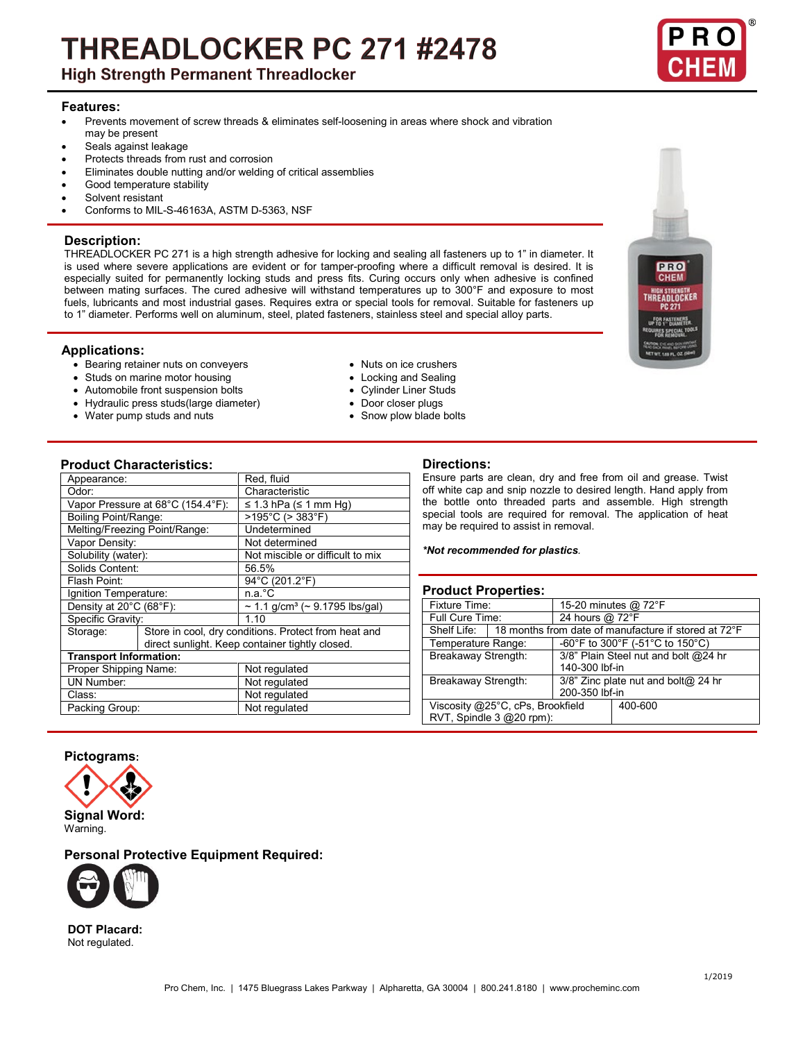# **THREADLOCKER PC 271 #2478**

**High Strength Permanent Threadlocker** 

#### **Features:**

- Prevents movement of screw threads & eliminates self-loosening in areas where shock and vibration may be present
- Seals against leakage
- Protects threads from rust and corrosion
- Eliminates double nutting and/or welding of critical assemblies
- Good temperature stability
- Solvent resistant
- Conforms to MIL-S-46163A, ASTM D-5363, NSF

#### **Description:**

THREADLOCKER PC 271 is a high strength adhesive for locking and sealing all fasteners up to 1" in diameter. It is used where severe applications are evident or for tamper-proofing where a difficult removal is desired. It is especially suited for permanently locking studs and press fits. Curing occurs only when adhesive is confined between mating surfaces. The cured adhesive will withstand temperatures up to 300°F and exposure to most fuels, lubricants and most industrial gases. Requires extra or special tools for removal. Suitable for fasteners up to 1" diameter. Performs well on aluminum, steel, plated fasteners, stainless steel and special alloy parts.

#### **Applications:**

- Bearing retainer nuts on conveyers Nuts on ice crushers
- 
- Locking and Sealing<br>
Automobile front suspension bolts<br>
 Cylinder Liner Studs
- Automobile front suspension bolts Cylinder Liner Studs • Hydraulic press studs(large diameter)
- Water pump studs and nuts Snow plow blade bolts
- 

- 
- 

**Product Characteristics:**

| Product Characteristics:          |                                                      |                                                       |  |  |  |
|-----------------------------------|------------------------------------------------------|-------------------------------------------------------|--|--|--|
| Appearance:                       |                                                      | Red, fluid                                            |  |  |  |
| Odor:                             |                                                      | Characteristic                                        |  |  |  |
| Vapor Pressure at 68°C (154.4°F): |                                                      | $\leq$ 1.3 hPa ( $\leq$ 1 mm Hg)                      |  |  |  |
| Boiling Point/Range:              |                                                      | $>195^{\circ}$ C (> 383 $^{\circ}$ F)                 |  |  |  |
|                                   | Melting/Freezing Point/Range:                        | Undetermined                                          |  |  |  |
| Vapor Density:                    |                                                      | Not determined                                        |  |  |  |
| Solubility (water):               |                                                      | Not miscible or difficult to mix                      |  |  |  |
| Solids Content:                   |                                                      | 56.5%                                                 |  |  |  |
| Flash Point:                      |                                                      | 94°C (201.2°F)                                        |  |  |  |
| Ignition Temperature:             |                                                      | n.a.°C                                                |  |  |  |
| Density at 20°C (68°F):           |                                                      | $\sim$ 1.1 g/cm <sup>3</sup> ( $\sim$ 9.1795 lbs/gal) |  |  |  |
| Specific Gravity:                 |                                                      | 1.10                                                  |  |  |  |
| Storage:                          | Store in cool, dry conditions. Protect from heat and |                                                       |  |  |  |
|                                   | direct sunlight. Keep container tightly closed.      |                                                       |  |  |  |
| <b>Transport Information:</b>     |                                                      |                                                       |  |  |  |
| Proper Shipping Name:             |                                                      | Not regulated                                         |  |  |  |
| UN Number:                        |                                                      | Not regulated                                         |  |  |  |
| Class:                            |                                                      | Not regulated                                         |  |  |  |
| Packing Group:                    |                                                      | Not regulated                                         |  |  |  |
|                                   |                                                      |                                                       |  |  |  |

### **Directions:**

Ensure parts are clean, dry and free from oil and grease. Twist off white cap and snip nozzle to desired length. Hand apply from the bottle onto threaded parts and assemble. High strength special tools are required for removal. The application of heat may be required to assist in removal.

*\*Not recommended for plastics.*

#### **Product Properties:**

| .                                |                          |                                                                  |         |  |  |
|----------------------------------|--------------------------|------------------------------------------------------------------|---------|--|--|
| Fixture Time:                    |                          | 15-20 minutes @ 72°F                                             |         |  |  |
| Full Cure Time:                  |                          | 24 hours @ 72°F                                                  |         |  |  |
|                                  |                          | Shelf Life: 18 months from date of manufacture if stored at 72°F |         |  |  |
| Temperature Range:               |                          | -60°F to 300°F (-51°C to 150°C)                                  |         |  |  |
| Breakaway Strength:              |                          | 3/8" Plain Steel nut and bolt @24 hr                             |         |  |  |
|                                  |                          | 140-300 lbf-in                                                   |         |  |  |
| Breakaway Strength:              |                          | 3/8" Zinc plate nut and bolt@ 24 hr                              |         |  |  |
|                                  |                          | 200-350 lbf-in                                                   |         |  |  |
| Viscosity @25°C, cPs, Brookfield |                          |                                                                  | 400-600 |  |  |
|                                  | RVT, Spindle 3 @20 rpm): |                                                                  |         |  |  |
|                                  |                          |                                                                  |         |  |  |

#### **Pictograms:**



### **Personal Protective Equipment Required:**



**DOT Placard:** Not regulated.

PRO **CHEM** THREADLOCKER **PC 271**